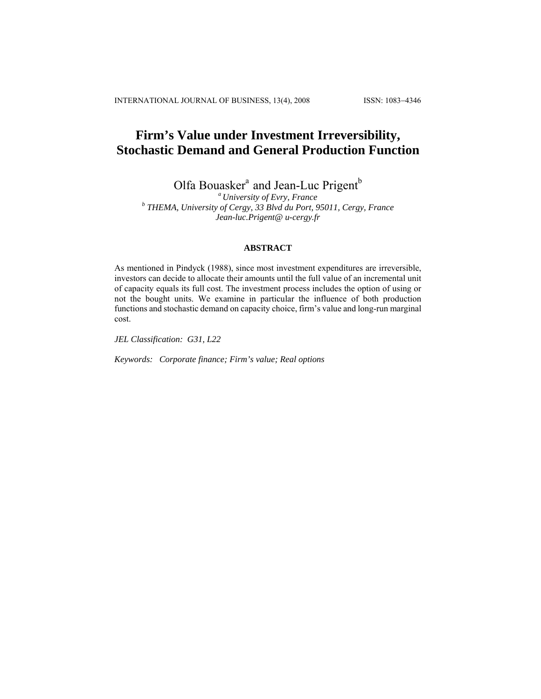INTERNATIONAL JOURNAL OF BUSINESS, 13(4), 2008 ISSN: 1083−4346

# **Firm's Value under Investment Irreversibility, Stochastic Demand and General Production Function**

Olfa Bouasker<sup>a</sup> and Jean-Luc Prigent<sup>b</sup> *Chiversity of Evry, France* 

*a University of Evry, France b THEMA, University of Cergy, 33 Blvd du Port, 95011, Cergy, France Jean-luc.Prigent@ u-cergy.fr* 

# **ABSTRACT**

As mentioned in Pindyck (1988), since most investment expenditures are irreversible, investors can decide to allocate their amounts until the full value of an incremental unit of capacity equals its full cost. The investment process includes the option of using or not the bought units. We examine in particular the influence of both production functions and stochastic demand on capacity choice, firm's value and long-run marginal cost.

*JEL Classification: G31, L22* 

*Keywords: Corporate finance; Firm's value; Real options*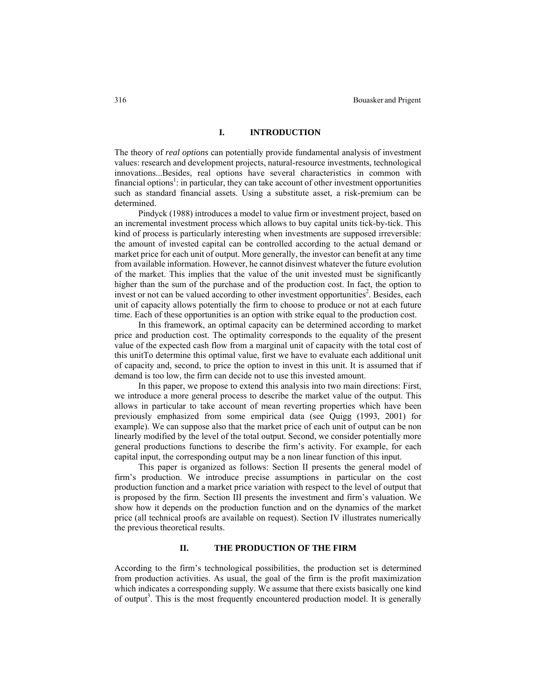## **I. INTRODUCTION**

The theory of *real options* can potentially provide fundamental analysis of investment values: research and development projects, natural-resource investments, technological innovations...Besides, real options have several characteristics in common with financial options<sup>1</sup>: in particular, they can take account of other investment opportunities such as standard financial assets. Using a substitute asset, a risk-premium can be determined.

Pindyck (1988) introduces a model to value firm or investment project, based on an incremental investment process which allows to buy capital units tick-by-tick. This kind of process is particularly interesting when investments are supposed irreversible: the amount of invested capital can be controlled according to the actual demand or market price for each unit of output. More generally, the investor can benefit at any time from available information. However, he cannot disinvest whatever the future evolution of the market. This implies that the value of the unit invested must be significantly higher than the sum of the purchase and of the production cost. In fact, the option to invest or not can be valued according to other investment opportunities<sup>2</sup>. Besides, each unit of capacity allows potentially the firm to choose to produce or not at each future time. Each of these opportunities is an option with strike equal to the production cost.

In this framework, an optimal capacity can be determined according to market price and production cost. The optimality corresponds to the equality of the present value of the expected cash flow from a marginal unit of capacity with the total cost of this unitTo determine this optimal value, first we have to evaluate each additional unit of capacity and, second, to price the option to invest in this unit. It is assumed that if demand is too low, the firm can decide not to use this invested amount.

In this paper, we propose to extend this analysis into two main directions: First, we introduce a more general process to describe the market value of the output. This allows in particular to take account of mean reverting properties which have been previously emphasized from some empirical data (see Quigg (1993, 2001) for example). We can suppose also that the market price of each unit of output can be non linearly modified by the level of the total output. Second, we consider potentially more general productions functions to describe the firm's activity. For example, for each capital input, the corresponding output may be a non linear function of this input.

This paper is organized as follows: Section II presents the general model of firm's production. We introduce precise assumptions in particular on the cost production function and a market price variation with respect to the level of output that is proposed by the firm. Section III presents the investment and firm's valuation. We show how it depends on the production function and on the dynamics of the market price (all technical proofs are available on request). Section IV illustrates numerically the previous theoretical results.

## **II. THE PRODUCTION OF THE FIRM**

According to the firm's technological possibilities, the production set is determined from production activities. As usual, the goal of the firm is the profit maximization which indicates a corresponding supply. We assume that there exists basically one kind of output<sup>3</sup>. This is the most frequently encountered production model. It is generally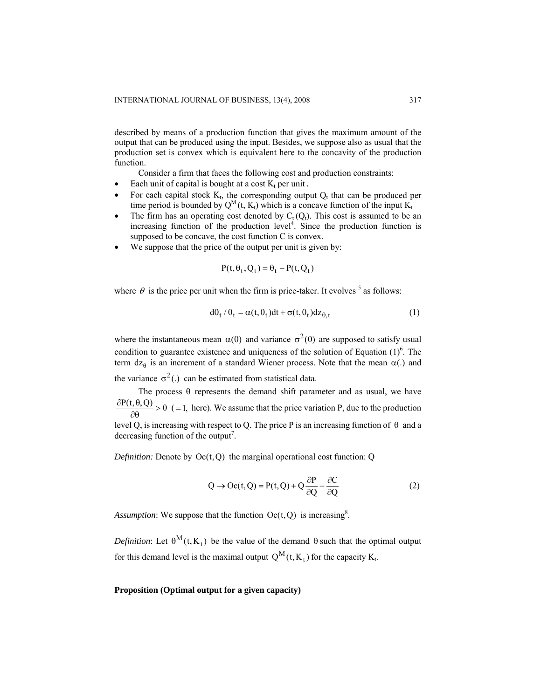described by means of a production function that gives the maximum amount of the output that can be produced using the input. Besides, we suppose also as usual that the production set is convex which is equivalent here to the concavity of the production function.

Consider a firm that faces the following cost and production constraints:

- Each unit of capital is bought at a cost  $K_t$  per unit.
- For each capital stock  $K_t$ , the corresponding output  $Q_t$  that can be produced per time period is bounded by  $Q^M(t, K_t)$  which is a concave function of the input  $K_t$ .
- The firm has an operating cost denoted by  $C_t(Q_t)$ . This cost is assumed to be an increasing function of the production level<sup>4</sup>. Since the production function is supposed to be concave, the cost function C is convex.
- We suppose that the price of the output per unit is given by:

$$
P(t, \theta_t, Q_t) = \theta_t - P(t, Q_t)
$$

where  $\theta$  is the price per unit when the firm is price-taker. It evolves  $\delta$  as follows:

$$
d\theta_t / \theta_t = \alpha(t, \theta_t) dt + \sigma(t, \theta_t) dz_{\theta, t}
$$
 (1)

where the instantaneous mean  $\alpha(\theta)$  and variance  $\sigma^2(\theta)$  are supposed to satisfy usual condition to guarantee existence and uniqueness of the solution of Equation  $(1)^6$ . The term  $dz_{\theta}$  is an increment of a standard Wiener process. Note that the mean  $\alpha(.)$  and the variance  $\sigma^2$ (.) can be estimated from statistical data.

The process  $\theta$  represents the demand shift parameter and as usual, we have  $\frac{\partial P(t, \theta, Q)}{\partial \theta} > 0$  (=1, here). We assume that the price variation P, due to the production level Q, is increasing with respect to Q. The price P is an increasing function of  $\theta$  and a decreasing function of the output<sup>7</sup>.

*Definition:* Denote by  $Oc(t, Q)$  the marginal operational cost function: Q

$$
Q \to Oc(t, Q) = P(t, Q) + Q \frac{\partial P}{\partial Q} + \frac{\partial C}{\partial Q} \tag{2}
$$

Assumption: We suppose that the function  $Oc(t, Q)$  is increasing<sup>8</sup>.

*Definition*: Let  $\theta^M(t, K_t)$  be the value of the demand  $\theta$  such that the optimal output for this demand level is the maximal output  $Q^M(t,K_t)$  for the capacity  $K_t$ .

#### **Proposition (Optimal output for a given capacity)**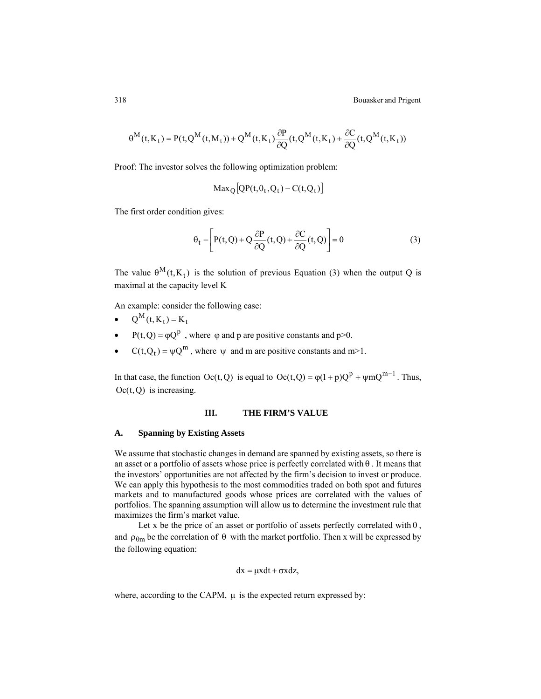318 Bouasker and Prigent

$$
\theta^M(t, K_t) = P(t, Q^M(t, M_t)) + Q^M(t, K_t) \frac{\partial P}{\partial Q}(t, Q^M(t, K_t) + \frac{\partial C}{\partial Q}(t, Q^M(t, K_t))
$$

Proof: The investor solves the following optimization problem:

$$
Max_Q[QP(t, \theta_t, Q_t) - C(t, Q_t)]
$$

The first order condition gives:

$$
\theta_{t} - \left[ P(t, Q) + Q \frac{\partial P}{\partial Q}(t, Q) + \frac{\partial C}{\partial Q}(t, Q) \right] = 0
$$
\n(3)

The value  $\theta^{M}(t, K_{t})$  is the solution of previous Equation (3) when the output Q is maximal at the capacity level K

An example: consider the following case:

- $Q^M(t, K_t) = K_t$
- $P(t, Q) = \varphi Q^p$ , where  $\varphi$  and  $p$  are positive constants and  $p > 0$ .
- $C(t, Q_t) = \psi Q^m$ , where  $\psi$  and m are positive constants and m>1.

In that case, the function  $Oc(t, Q)$  is equal to  $Oc(t, Q) = \varphi(1+p)Q^{p} + \psi mQ^{m-1}$ . Thus,  $Oc(t, Q)$  is increasing.

## **III. THE FIRM'S VALUE**

#### **A. Spanning by Existing Assets**

We assume that stochastic changes in demand are spanned by existing assets, so there is an asset or a portfolio of assets whose price is perfectly correlated with  $\theta$ . It means that the investors' opportunities are not affected by the firm's decision to invest or produce. We can apply this hypothesis to the most commodities traded on both spot and futures markets and to manufactured goods whose prices are correlated with the values of portfolios. The spanning assumption will allow us to determine the investment rule that maximizes the firm's market value.

Let x be the price of an asset or portfolio of assets perfectly correlated with  $\theta$ , and  $\rho_{\theta m}$  be the correlation of  $\theta$  with the market portfolio. Then x will be expressed by the following equation:

$$
dx = \mu x dt + \sigma x dz,
$$

where, according to the CAPM, μ is the expected return expressed by: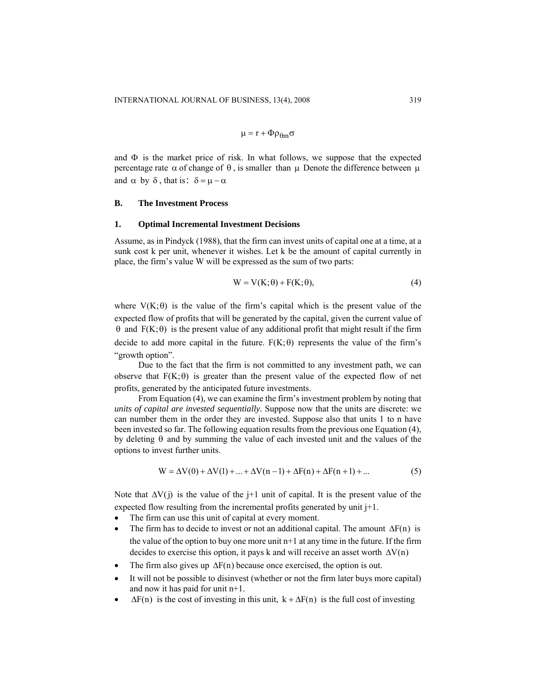$$
\mu=r+\Phi\rho_{\theta m}\sigma
$$

and  $\Phi$  is the market price of risk. In what follows, we suppose that the expected percentage rate  $\alpha$  of change of  $\theta$ , is smaller than  $\mu$  Denote the difference between  $\mu$ and  $\alpha$  by  $\delta$ , that is:  $\delta = \mu - \alpha$ 

## **B. The Investment Process**

#### **1. Optimal Incremental Investment Decisions**

Assume, as in Pindyck (1988), that the firm can invest units of capital one at a time, at a sunk cost k per unit, whenever it wishes. Let k be the amount of capital currently in place, the firm's value W will be expressed as the sum of two parts:

$$
W = V(K; \theta) + F(K; \theta), \tag{4}
$$

where  $V(K; \theta)$  is the value of the firm's capital which is the present value of the expected flow of profits that will be generated by the capital, given the current value of  $θ$  and  $F(K; θ)$  is the present value of any additional profit that might result if the firm decide to add more capital in the future.  $F(K; \theta)$  represents the value of the firm's "growth option".

Due to the fact that the firm is not committed to any investment path, we can observe that  $F(K; \theta)$  is greater than the present value of the expected flow of net profits, generated by the anticipated future investments.

From Equation (4), we can examine the firm's investment problem by noting that *units of capital are invested sequentially.* Suppose now that the units are discrete: we can number them in the order they are invested. Suppose also that units 1 to n have been invested so far. The following equation results from the previous one Equation (4), by deleting  $\theta$  and by summing the value of each invested unit and the values of the options to invest further units.

$$
W = \Delta V(0) + \Delta V(1) + ... + \Delta V(n-1) + \Delta F(n) + \Delta F(n+1) + ... \tag{5}
$$

Note that  $\Delta V(j)$  is the value of the j+1 unit of capital. It is the present value of the expected flow resulting from the incremental profits generated by unit  $j+1$ .

- The firm can use this unit of capital at every moment.
- The firm has to decide to invest or not an additional capital. The amount  $\Delta F(n)$  is the value of the option to buy one more unit  $n+1$  at any time in the future. If the firm decides to exercise this option, it pays k and will receive an asset worth  $\Delta V(n)$
- The firm also gives up  $\Delta F(n)$  because once exercised, the option is out.
- It will not be possible to disinvest (whether or not the firm later buys more capital) and now it has paid for unit n+1.
- $\Delta F(n)$  is the cost of investing in this unit,  $k + \Delta F(n)$  is the full cost of investing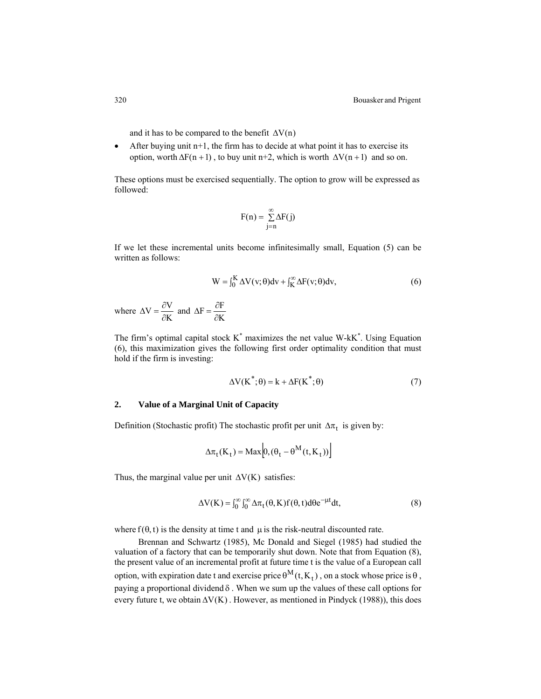and it has to be compared to the benefit  $\Delta V(n)$ 

• After buying unit  $n+1$ , the firm has to decide at what point it has to exercise its option, worth  $\Delta F(n + 1)$ , to buy unit n+2, which is worth  $\Delta V(n + 1)$  and so on.

These options must be exercised sequentially. The option to grow will be expressed as followed:

$$
F(n) = \sum_{j=n}^{\infty} \Delta F(j)
$$

If we let these incremental units become infinitesimally small, Equation (5) can be written as follows:

$$
W = \int_0^K \Delta V(v; \theta) dv + \int_K^{\infty} \Delta F(v; \theta) dv,
$$
\n(6)

where  $\Delta V = \frac{\partial V}{\partial K}$  and  $\Delta F = \frac{\partial F}{\partial K}$ 

The firm's optimal capital stock  $K^*$  maximizes the net value W- $kK^*$ . Using Equation (6), this maximization gives the following first order optimality condition that must hold if the firm is investing:

$$
\Delta V(K^*;\theta) = k + \Delta F(K^*;\theta)
$$
\n(7)

## **2. Value of a Marginal Unit of Capacity**

Definition (Stochastic profit) The stochastic profit per unit  $\Delta \pi_t$  is given by:

$$
\Delta \pi_t(\mathbf{K}_t) = \mathbf{Max}\Big[0, (\theta_t - \theta^{\mathbf{M}}(t, \mathbf{K}_t))\Big]
$$

Thus, the marginal value per unit  $\Delta V(K)$  satisfies:

$$
\Delta V(K) = \int_0^\infty \int_0^\infty \Delta \pi_t(\theta, K) f(\theta, t) d\theta e^{-\mu t} dt,
$$
\n(8)

where  $f(\theta, t)$  is the density at time t and  $\mu$  is the risk-neutral discounted rate.

Brennan and Schwartz (1985), Mc Donald and Siegel (1985) had studied the valuation of a factory that can be temporarily shut down. Note that from Equation (8), the present value of an incremental profit at future time t is the value of a European call option, with expiration date t and exercise price  $\theta^M(t, K_t)$ , on a stock whose price is  $\theta$ , paying a proportional dividend δ . When we sum up the values of these call options for every future t, we obtain  $\Delta V(K)$ . However, as mentioned in Pindyck (1988)), this does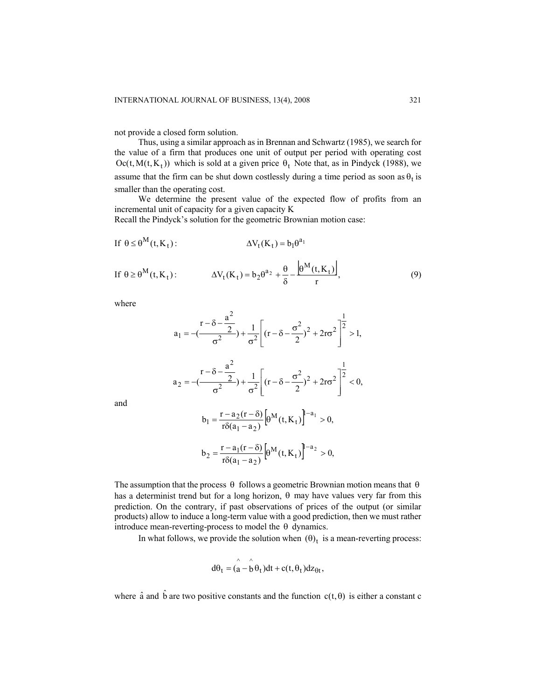not provide a closed form solution.

Thus, using a similar approach as in Brennan and Schwartz (1985), we search for the value of a firm that produces one unit of output per period with operating cost  $\text{Oc}(t, M(t, K_t))$  which is sold at a given price  $\theta_t$  Note that, as in Pindyck (1988), we assume that the firm can be shut down costlessly during a time period as soon as  $\theta_t$  is smaller than the operating cost.

We determine the present value of the expected flow of profits from an incremental unit of capacity for a given capacity K

Recall the Pindyck's solution for the geometric Brownian motion case:

If 
$$
\theta \le \theta^M(t, K_t)
$$
:  
\n
$$
\Delta V_t(K_t) = b_1 \theta^{a_1}
$$
\nIf  $\theta \ge \theta^M(t, K_t)$ :  
\n
$$
\Delta V_t(K_t) = b_2 \theta^{a_2} + \frac{\theta}{\delta} - \frac{\left|\theta^M(t, K_t)\right|}{r},
$$
\n(9)

where

$$
a_1 = -\left(\frac{r - \delta - \frac{a^2}{2}}{\sigma^2}\right) + \frac{1}{\sigma^2} \left[ (r - \delta - \frac{\sigma^2}{2})^2 + 2r\sigma^2 \right]^{\frac{1}{2}} > 1,
$$
  

$$
a_2 = -\left(\frac{r - \delta - \frac{a^2}{2}}{\sigma^2}\right) + \frac{1}{\sigma^2} \left[ (r - \delta - \frac{\sigma^2}{2})^2 + 2r\sigma^2 \right]^{\frac{1}{2}} < 0,
$$

and

$$
b_1 = \frac{r - a_2(r - \delta)}{r \delta(a_1 - a_2)} \left[ \theta^M(t, K_t) \right]^{-a_1} > 0,
$$
  

$$
b_2 = \frac{r - a_1(r - \delta)}{r \delta(a_1 - a_2)} \left[ \theta^M(t, K_t) \right]^{-a_2} > 0.
$$

$$
b_2 = \frac{r - a_1(r - \delta)}{r \delta(a_1 - a_2)} \left[ \theta^M(t, K_t) \right]^{1 - a_2} > 0,
$$

The assumption that the process  $\theta$  follows a geometric Brownian motion means that  $\theta$ has a determinist trend but for a long horizon, θ may have values very far from this prediction. On the contrary, if past observations of prices of the output (or similar products) allow to induce a long-term value with a good prediction, then we must rather introduce mean-reverting-process to model the θ dynamics.

In what follows, we provide the solution when  $(\theta)_t$  is a mean-reverting process:

$$
d\theta_t = (\mathbf{a} - \mathbf{b}\theta_t)dt + c(t, \theta_t)dz_{\theta t},
$$

where  $\hat{a}$  and  $\hat{b}$  are two positive constants and the function  $c(t, \theta)$  is either a constant c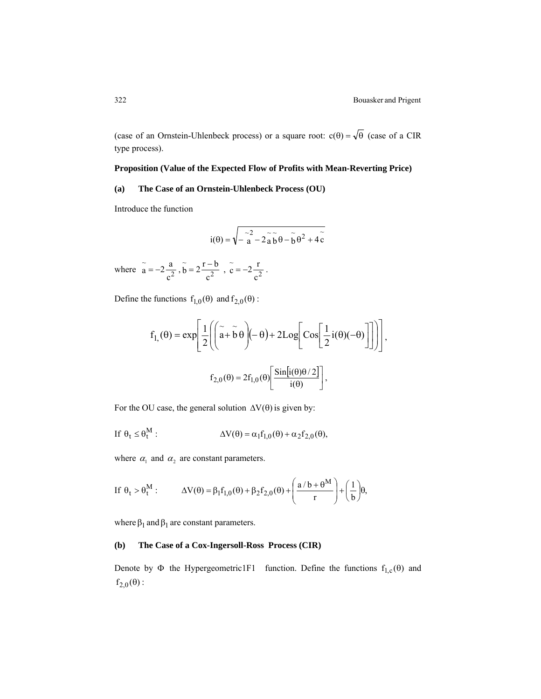(case of an Ornstein-Uhlenbeck process) or a square root:  $c(\theta) = \sqrt{\theta}$  (case of a CIR type process).

## **Proposition (Value of the Expected Flow of Profits with Mean-Reverting Price)**

## **(a) The Case of an Ornstein-Uhlenbeck Process (OU)**

Introduce the function

$$
i(\theta) = \sqrt{-\stackrel{\sim}{a} - 2\stackrel{\sim}{a}\stackrel{\sim}{b}\theta - \stackrel{\sim}{b}\theta^2 + 4\stackrel{\sim}{c}}
$$

where  $\tilde{a} = -2 \frac{a}{c^2}$ c  $\widetilde{a} = -2\frac{a}{c^2}$ ,  $\widetilde{b} = 2\frac{r-2}{c^2}$ c  $\widetilde{b} = 2 \frac{r-b}{c^2}$ ,  $\widetilde{c} = -2 \frac{r}{c^2}$ c  $\widetilde{c} = -2 \frac{r}{2}$ .

Define the functions  $f_{1,0}(\theta)$  and  $f_{2,0}(\theta)$ :

$$
f_{1,}(\theta) = \exp\left[\frac{1}{2}\left(\left(\tilde{a} + \tilde{b}\theta\right)(-\theta) + 2Log\left[Cos\left[\frac{1}{2}i(\theta)(-\theta)\right]\right]\right)\right],
$$

$$
f_{2,0}(\theta) = 2f_{1,0}(\theta)\left[\frac{Sin[i(\theta)\theta/2]}{i(\theta)}\right],
$$

For the OU case, the general solution  $\Delta V(\theta)$  is given by:

If 
$$
\theta_t \leq \theta_t^M
$$
:  

$$
\Delta V(\theta) = \alpha_1 f_{1,0}(\theta) + \alpha_2 f_{2,0}(\theta),
$$

where  $\alpha_1$  and  $\alpha_2$  are constant parameters.

If 
$$
\theta_t > \theta_t^M
$$
: 
$$
\Delta V(\theta) = \beta_1 f_{1,0}(\theta) + \beta_2 f_{2,0}(\theta) + \left(\frac{a/b + \theta^M}{r}\right) + \left(\frac{1}{b}\right)\theta,
$$

where  $\beta_1$  and  $\beta_1$  are constant parameters.

## **(b) The Case of a Cox-Ingersoll-Ross Process (CIR)**

Denote by  $\Phi$  the Hypergeometric1F1 function. Define the functions  $f_{1,c}(\theta)$  and  $f_{2,0}(\theta)$ :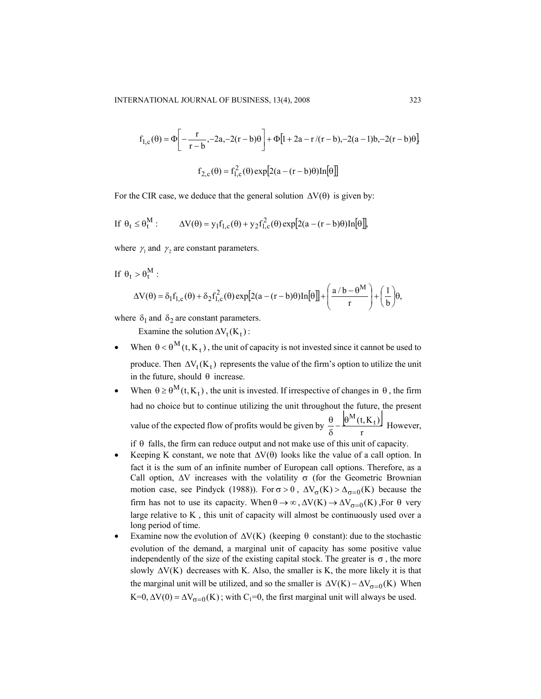$$
f_{1,c}(\theta) = \Phi \left[ -\frac{r}{r-b}, -2a, -2(r-b)\theta \right] + \Phi [1 + 2a - r/(r-b), -2(a-1)b, -2(r-b)\theta]
$$
  

$$
f_{2,c}(\theta) = f_{1,c}^2(\theta) \exp [2(a - (r-b)\theta) \ln[\theta]]
$$

For the CIR case, we deduce that the general solution  $\Delta V(\theta)$  is given by:

$$
\text{If } \theta_t \leq \theta_t^M: \qquad \Delta V(\theta) = y_1 f_{1,c}(\theta) + y_2 f_{1,c}^2(\theta) \exp[2(a - (r - b)\theta) \ln[\theta]],
$$

where  $\gamma_1$  and  $\gamma_2$  are constant parameters.

 $If$ 

$$
\theta_t > \theta_t^M:
$$
  
\n
$$
\Delta V(\theta) = \delta_1 f_{1,c}(\theta) + \delta_2 f_{1,c}^2(\theta) \exp[2(a - (r - b)\theta) \text{ln}[\theta]] + \left(\frac{a/b - \theta^M}{r}\right) + \left(\frac{1}{b}\right)\theta,
$$

where  $\delta_1$  and  $\delta_2$  are constant parameters.

Examine the solution  $\Delta V_t(K_t)$ :

- When  $\theta < \theta^M(t, K_t)$ , the unit of capacity is not invested since it cannot be used to produce. Then  $\Delta V_t(K_t)$  represents the value of the firm's option to utilize the unit in the future, should  $\theta$  increase.
- When  $\theta \ge \theta^M(t, K_t)$ , the unit is invested. If irrespective of changes in  $\theta$ , the firm had no choice but to continue utilizing the unit throughout the future, the present value of the expected flow of profits would be given by  $\frac{\theta}{2} - \frac{\theta^{M}(t, K_t)}{\theta}$ r  $\frac{\theta}{\delta} - \frac{\left[\theta^M(t, K_t)\right]}{r}$  However,

if  $\theta$  falls, the firm can reduce output and not make use of this unit of capacity.

- Keeping K constant, we note that  $\Delta V(\theta)$  looks like the value of a call option. In fact it is the sum of an infinite number of European call options. Therefore, as a Call option,  $\Delta V$  increases with the volatility  $\sigma$  (for the Geometric Brownian motion case, see Pindyck (1988)). For  $\sigma > 0$ ,  $\Delta V_{\sigma}(K) > \Delta_{\sigma=0}(K)$  because the firm has not to use its capacity. When  $\theta \to \infty$ ,  $\Delta V(K) \to \Delta V_{\sigma=0}(K)$ , For  $\theta$  very large relative to K , this unit of capacity will almost be continuously used over a long period of time.
- Examine now the evolution of  $ΔV(K)$  (keeping θ constant): due to the stochastic evolution of the demand, a marginal unit of capacity has some positive value independently of the size of the existing capital stock. The greater is  $\sigma$ , the more slowly  $\Delta V(K)$  decreases with K. Also, the smaller is K, the more likely it is that the marginal unit will be utilized, and so the smaller is  $\Delta V(K) - \Delta V_{\sigma=0}(K)$  When K=0,  $\Delta V(0) = \Delta V_{\sigma=0}(K)$ ; with C<sub>1</sub>=0, the first marginal unit will always be used.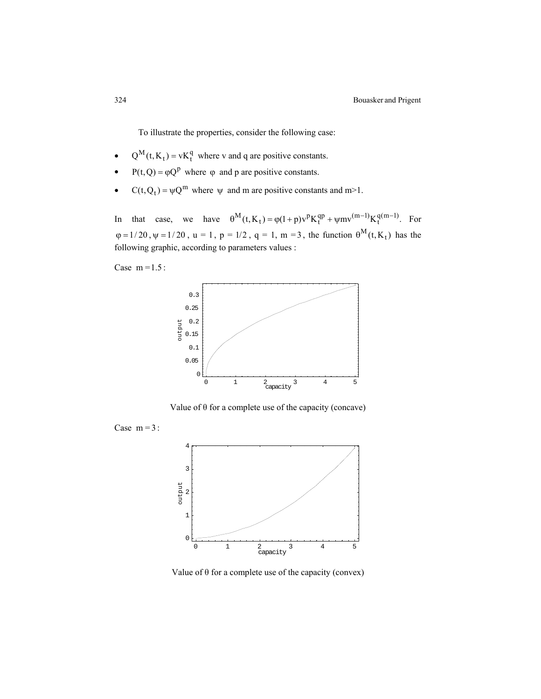To illustrate the properties, consider the following case:

- $Q^M(t, K_t) = vK_t^q$  where v and q are positive constants.
- $P(t, Q) = \varphi Q^{p}$  where  $\varphi$  and p are positive constants.
- $C(t, Q_t) = \psi Q^m$  where  $\psi$  and m are positive constants and m>1.

In that case, we have  $\theta^M(t, K_t) = \varphi(1+p)v^pK_t^{qp} + \psi m v^{(m-1)}K_t^{q(m-1)}$ . For  $\varphi = 1/20$ ,  $\psi = 1/20$ ,  $u = 1$ ,  $p = 1/2$ ,  $q = 1$ ,  $m = 3$ , the function  $\theta^{M}(t, K_{t})$  has the following graphic, according to parameters values :

Case  $m = 1.5$ :



Value of  $\theta$  for a complete use of the capacity (concave)

Case  $m = 3$ :



Value of  $\theta$  for a complete use of the capacity (convex)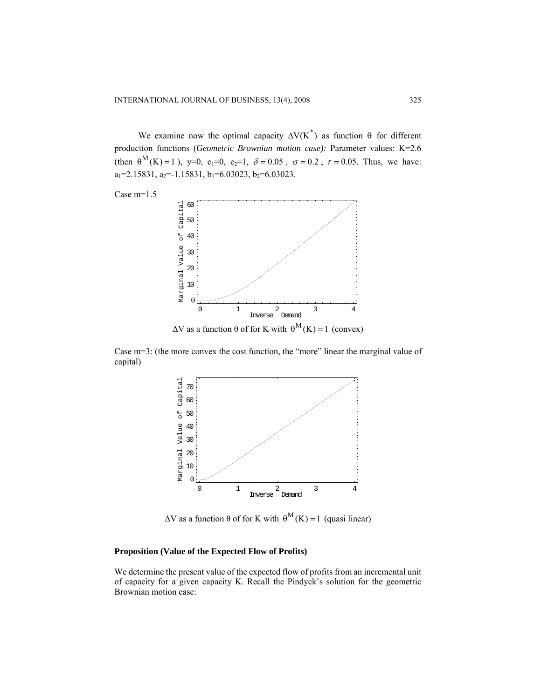We examine now the optimal capacity  $\Delta V(K^*)$  as function  $\theta$  for different production functions (*Geometric Brownian motion case):* Parameter values: K=2.6 (then  $\theta^M(K) = 1$ ), y=0, c<sub>1</sub>=0, c<sub>2</sub>=1,  $\delta = 0.05$ ,  $\sigma = 0.2$ ,  $r = 0.05$ . Thus, we have:  $a_1=2.15831, a_2=1.15831, b_1=6.03023, b_2=6.03023.$ 





Case  $m=3$ : (the more convex the cost function, the "more" linear the marginal value of capital)



 $\Delta V$  as a function θ of for K with  $\theta^{M}(K) = 1$  (quasi linear)

## **Proposition (Value of the Expected Flow of Profits)**

We determine the present value of the expected flow of profits from an incremental unit of capacity for a given capacity K. Recall the Pindyck's solution for the geometric Brownian motion case: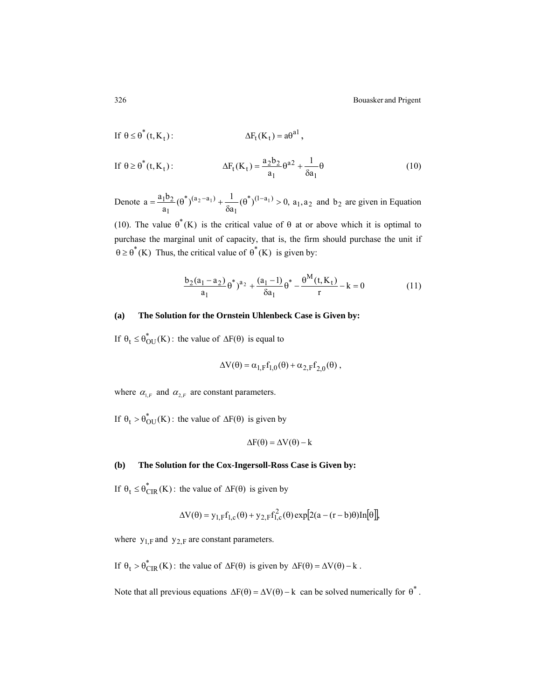$$
\text{If } \theta \le \theta^*(t, K_t): \qquad \Delta F_t(K_t) = a\theta^{a1},
$$

If 
$$
\theta \ge \theta^*(t, K_t)
$$
:  $\Delta F_t(K_t) = \frac{a_2 b_2}{a_1} \theta^{a_2} + \frac{1}{\delta a_1} \theta$  (10)

Denote  $a = \frac{a_1 b_2}{a_1} (\theta^*)^{(a_2 - a_1)} + \frac{1}{\delta a_1} (\theta^*)^{(1 - a_1)} > 0,$  $a = \frac{a_1 b_2}{\theta} (\theta^*)^{(a_2 - a_1)} + \frac{1}{2} (\theta^*)^{(1 - a_1)}$ 1 \*  $(a_2 - a_1)$ 1  $=\frac{a_1b_2}{a_1}(\theta^*)^{(a_2-a_1)}+\frac{1}{\delta a_1}(\theta^*)^{(1-a_1)}>0$ ,  $a_1, a_2$  and  $b_2$  are given in Equation

(10). The value  $\theta^*(K)$  is the critical value of  $\theta$  at or above which it is optimal to purchase the marginal unit of capacity, that is, the firm should purchase the unit if  $\theta \ge \theta^*(K)$  Thus, the critical value of  $\theta^*(K)$  is given by:

$$
\frac{b_2(a_1 - a_2)}{a_1} \theta^*)^{a_2} + \frac{(a_1 - 1)}{\delta a_1} \theta^* - \frac{\theta^M(t, K_t)}{r} - k = 0
$$
 (11)

## **(a) The Solution for the Ornstein Uhlenbeck Case is Given by:**

If  $\theta_t \leq \theta_{\text{OU}}^*(K)$ : the value of  $\Delta F(\theta)$  is equal to

$$
\Delta V(\theta) = \alpha_{1,F} f_{1,0}(\theta) + \alpha_{2,F} f_{2,0}(\theta) ,
$$

where  $\alpha_{1,F}$  and  $\alpha_{2,F}$  are constant parameters.

If  $\theta_t > \theta_{\text{OU}}^*(K)$ : the value of  $\Delta F(\theta)$  is given by

$$
\Delta F(\theta) = \Delta V(\theta) - k
$$

## **(b) The Solution for the Cox-Ingersoll-Ross Case is Given by:**

If  $\theta_t \leq \theta_{CIR}^*(K)$ : the value of  $\Delta F(\theta)$  is given by

$$
\Delta V(\theta) = y_{1,F}f_{1,c}(\theta) + y_{2,F}f_{1,c}^{2}(\theta) \exp[2(a - (r - b)\theta) \text{In}[\theta]]
$$

where  $y_{1,F}$  and  $y_{2,F}$  are constant parameters.

If  $\theta_t > \theta_{CIR}^*(K)$ : the value of  $\Delta F(\theta)$  is given by  $\Delta F(\theta) = \Delta V(\theta) - k$ .

Note that all previous equations  $\Delta F(\theta) = \Delta V(\theta) - k$  can be solved numerically for  $\theta^*$ .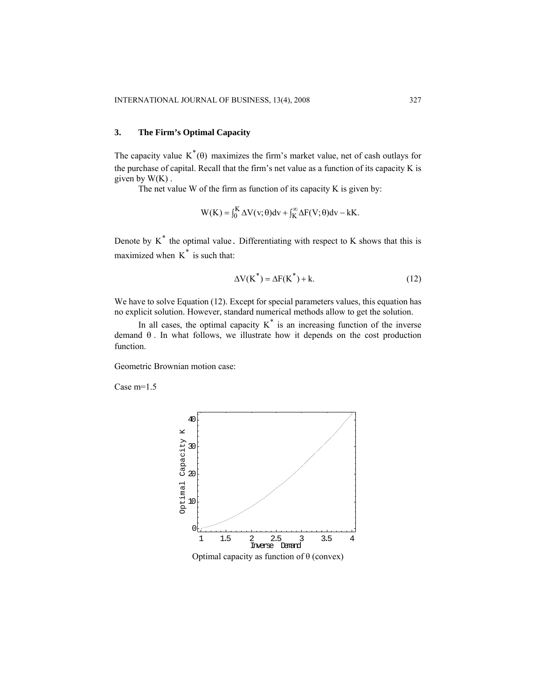# **3. The Firm's Optimal Capacity**

The capacity value  $K^*(\theta)$  maximizes the firm's market value, net of cash outlays for the purchase of capital. Recall that the firm's net value as a function of its capacity K is given by  $W(K)$ .

The net value W of the firm as function of its capacity K is given by:

$$
W(K) = \int_0^K \Delta V(v; \theta) dv + \int_K^\infty \Delta F(V; \theta) dv - kK.
$$

Denote by  $K^*$  the optimal value. Differentiating with respect to K shows that this is maximized when  $K^*$  is such that:

$$
\Delta V(K^*) = \Delta F(K^*) + k. \tag{12}
$$

We have to solve Equation (12). Except for special parameters values, this equation has no explicit solution. However, standard numerical methods allow to get the solution.

In all cases, the optimal capacity  $K^*$  is an increasing function of the inverse demand  $\theta$ . In what follows, we illustrate how it depends on the cost production function.

Geometric Brownian motion case:

Case m=1.5



Optimal capacity as function of θ (convex)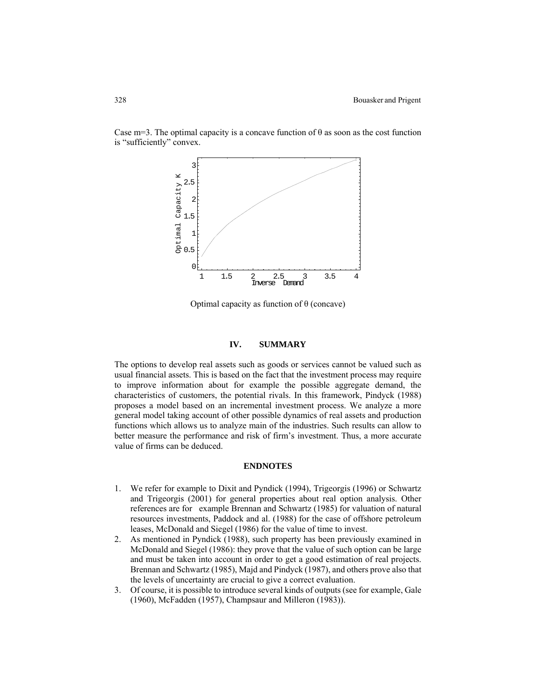

Case m=3. The optimal capacity is a concave function of  $\theta$  as soon as the cost function is "sufficiently" convex.

Optimal capacity as function of θ (concave)

### **IV. SUMMARY**

The options to develop real assets such as goods or services cannot be valued such as usual financial assets. This is based on the fact that the investment process may require to improve information about for example the possible aggregate demand, the characteristics of customers, the potential rivals. In this framework, Pindyck (1988) proposes a model based on an incremental investment process. We analyze a more general model taking account of other possible dynamics of real assets and production functions which allows us to analyze main of the industries. Such results can allow to better measure the performance and risk of firm's investment. Thus, a more accurate value of firms can be deduced.

## **ENDNOTES**

- 1. We refer for example to Dixit and Pyndick (1994), Trigeorgis (1996) or Schwartz and Trigeorgis (2001) for general properties about real option analysis. Other references are for example Brennan and Schwartz (1985) for valuation of natural resources investments, Paddock and al. (1988) for the case of offshore petroleum leases, McDonald and Siegel (1986) for the value of time to invest.
- 2. As mentioned in Pyndick (1988), such property has been previously examined in McDonald and Siegel (1986): they prove that the value of such option can be large and must be taken into account in order to get a good estimation of real projects. Brennan and Schwartz (1985), Majd and Pindyck (1987), and others prove also that the levels of uncertainty are crucial to give a correct evaluation.
- 3. Of course, it is possible to introduce several kinds of outputs (see for example, Gale (1960), McFadden (1957), Champsaur and Milleron (1983)).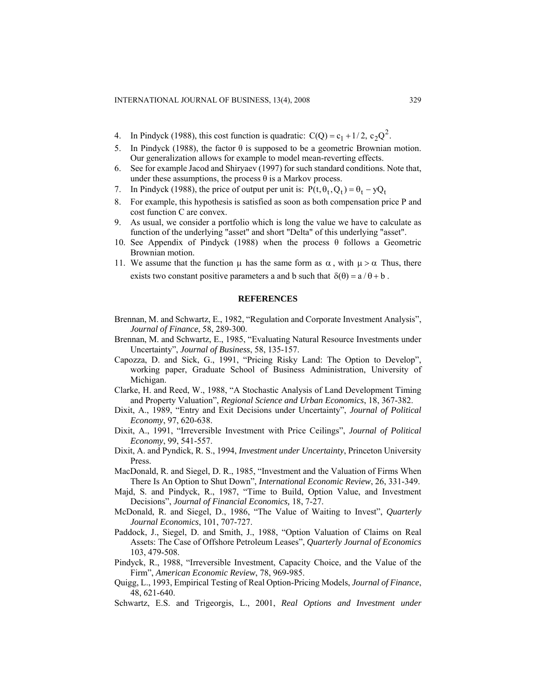- 4. In Pindyck (1988), this cost function is quadratic:  $C(Q) = c_1 + 1/2$ ,  $c_2 Q^2$ .
- 5. In Pindyck (1988), the factor  $\theta$  is supposed to be a geometric Brownian motion. Our generalization allows for example to model mean-reverting effects.
- 6. See for example Jacod and Shiryaev (1997) for such standard conditions. Note that, under these assumptions, the process  $\theta$  is a Markov process.
- 7. In Pindyck (1988), the price of output per unit is:  $P(t, \theta_t, Q_t) = \theta_t yQ_t$
- 8. For example, this hypothesis is satisfied as soon as both compensation price P and cost function C are convex.
- 9. As usual, we consider a portfolio which is long the value we have to calculate as function of the underlying "asset" and short "Delta" of this underlying "asset".
- 10. See Appendix of Pindyck (1988) when the process θ follows a Geometric Brownian motion.
- 11. We assume that the function  $\mu$  has the same form as  $\alpha$ , with  $\mu > \alpha$  Thus, there exists two constant positive parameters a and b such that  $\delta(\theta) = a/\theta + b$ .

#### **REFERENCES**

- Brennan, M. and Schwartz, E., 1982, "Regulation and Corporate Investment Analysis", *Journal of Finance*, 58, 289-300.
- Brennan, M. and Schwartz, E., 1985, "Evaluating Natural Resource Investments under Uncertainty", *Journal of Business*, 58, 135-157.
- Capozza, D. and Sick, G., 1991, "Pricing Risky Land: The Option to Develop", working paper, Graduate School of Business Administration, University of Michigan.
- Clarke, H. and Reed, W., 1988, "A Stochastic Analysis of Land Development Timing and Property Valuation", *Regional Science and Urban Economics*, 18, 367-382.
- Dixit, A., 1989, "Entry and Exit Decisions under Uncertainty", *Journal of Political Economy*, 97, 620-638.
- Dixit, A., 1991, "Irreversible Investment with Price Ceilings", *Journal of Political Economy*, 99, 541-557.
- Dixit, A. and Pyndick, R. S., 1994, *Investment under Uncertainty*, Princeton University Press.
- MacDonald, R. and Siegel, D. R., 1985, "Investment and the Valuation of Firms When There Is An Option to Shut Down", *International Economic Review*, 26, 331-349.
- Majd, S. and Pindyck, R., 1987, "Time to Build, Option Value, and Investment Decisions", *Journal of Financial Economics,* 18, 7-27.
- McDonald, R. and Siegel, D., 1986, "The Value of Waiting to Invest", *Quarterly Journal Economics*, 101, 707-727.
- Paddock, J., Siegel, D. and Smith, J., 1988, "Option Valuation of Claims on Real Assets: The Case of Offshore Petroleum Leases", *Quarterly Journal of Economics* 103, 479-508.
- Pindyck, R., 1988, "Irreversible Investment, Capacity Choice, and the Value of the Firm", *American Economic Review*, 78, 969-985.
- Quigg, L., 1993, Empirical Testing of Real Option-Pricing Models, *Journal of Finance*, 48, 621-640.
- Schwartz, E.S. and Trigeorgis, L., 2001, *Real Options and Investment under*